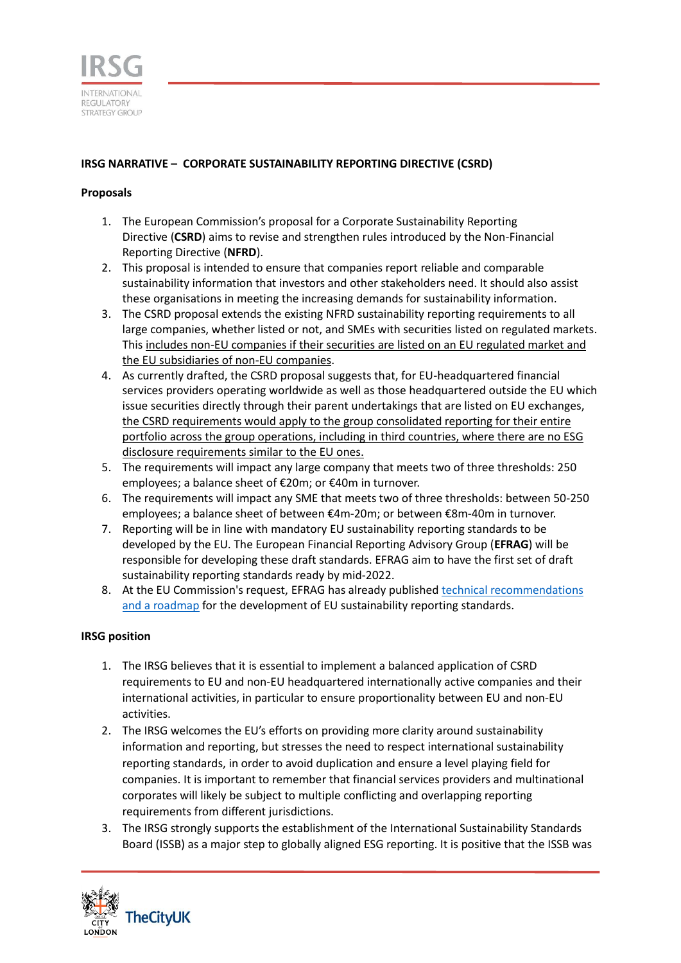

## **IRSG NARRATIVE – [CORPORATE SUSTAINABILITY REPORTING DIRECTIVE](https://ec.europa.eu/info/business-economy-euro/company-reporting-and-auditing/company-reporting/corporate-sustainability-reporting_en#review) (CSRD)**

## **Proposals**

- 1. The European Commission's [proposal for a Corporate Sustainability Reporting](https://ec.europa.eu/info/business-economy-euro/company-reporting-and-auditing/company-reporting/corporate-sustainability-reporting_en#review)  [Directive](https://ec.europa.eu/info/business-economy-euro/company-reporting-and-auditing/company-reporting/corporate-sustainability-reporting_en#review) (**CSRD**) aims to revise and strengthen rules introduced by the Non-Financial Reporting Directive (**NFRD**).
- 2. This proposal is intended to ensure that companies report reliable and comparable sustainability information that investors and other stakeholders need. It should also assist these organisations in meeting the increasing demands for sustainability information.
- 3. The CSRD proposal extends the existing NFRD sustainability reporting requirements to all large companies, whether listed or not, and SMEs with securities listed on regulated markets. This includes non-EU companies if their securities are listed on an EU regulated market and the EU subsidiaries of non-EU companies.
- 4. As currently drafted, the CSRD proposal suggests that, for EU-headquartered financial services providers operating worldwide as well as those headquartered outside the EU which issue securities directly through their parent undertakings that are listed on EU exchanges, the CSRD requirements would apply to the group consolidated reporting for their entire portfolio across the group operations, including in third countries, where there are no ESG disclosure requirements similar to the EU ones.
- 5. The requirements will impact any large company that meets two of three thresholds: 250 employees; a balance sheet of €20m; or €40m in turnover.
- 6. The requirements will impact any SME that meets two of three thresholds: between 50-250 employees; a balance sheet of between €4m-20m; or between €8m-40m in turnover.
- 7. Reporting will be in line with mandatory EU sustainability reporting standards to be developed by the EU. The European Financial Reporting Advisory Group (**EFRAG**) will be responsible for developing these draft standards. EFRAG aim to have the first set of draft sustainability reporting standards ready by mid-2022.
- 8. At the EU Commission's request, EFRAG has already published [technical recommendations](https://www.efrag.org/News/Project-476/Reports-published-on-development-of-EU-sustainability-reporting-standards?AspxAutoDetectCookieSupport=1)  [and a roadmap](https://www.efrag.org/News/Project-476/Reports-published-on-development-of-EU-sustainability-reporting-standards?AspxAutoDetectCookieSupport=1) for the development of EU sustainability reporting standards.

## **IRSG position**

- 1. The IRSG believes that it is essential to implement a balanced application of CSRD requirements to EU and non-EU headquartered internationally active companies and their international activities, in particular to ensure proportionality between EU and non-EU activities.
- 2. The IRSG welcomes the EU's efforts on providing more clarity around sustainability information and reporting, but stresses the need to respect international sustainability reporting standards, in order to avoid duplication and ensure a level playing field for companies. It is important to remember that financial services providers and multinational corporates will likely be subject to multiple conflicting and overlapping reporting requirements from different jurisdictions.
- 3. The IRSG strongly supports the establishment of the International Sustainability Standards Board (ISSB) as a major step to globally aligned ESG reporting. It is positive that the ISSB was